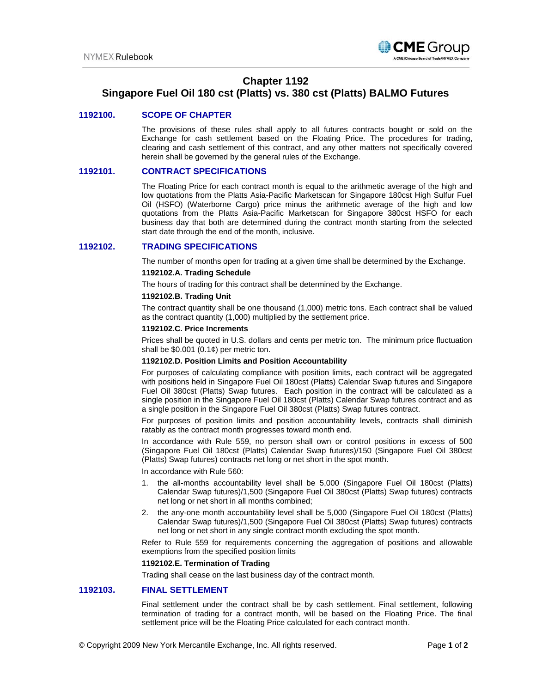

# **Chapter 1192**

## **Singapore Fuel Oil 180 cst (Platts) vs. 380 cst (Platts) BALMO Futures**

## **1192100. SCOPE OF CHAPTER**

The provisions of these rules shall apply to all futures contracts bought or sold on the Exchange for cash settlement based on the Floating Price. The procedures for trading, clearing and cash settlement of this contract, and any other matters not specifically covered herein shall be governed by the general rules of the Exchange.

## **1192101. CONTRACT SPECIFICATIONS**

The Floating Price for each contract month is equal to the arithmetic average of the high and low quotations from the Platts Asia-Pacific Marketscan for Singapore 180cst High Sulfur Fuel Oil (HSFO) (Waterborne Cargo) price minus the arithmetic average of the high and low quotations from the Platts Asia-Pacific Marketscan for Singapore 380cst HSFO for each business day that both are determined during the contract month starting from the selected start date through the end of the month, inclusive.

## **1192102. TRADING SPECIFICATIONS**

The number of months open for trading at a given time shall be determined by the Exchange.

## **1192102.A. Trading Schedule**

The hours of trading for this contract shall be determined by the Exchange.

#### **1192102.B. Trading Unit**

The contract quantity shall be one thousand (1,000) metric tons. Each contract shall be valued as the contract quantity (1,000) multiplied by the settlement price.

## **1192102.C. Price Increments**

Prices shall be quoted in U.S. dollars and cents per metric ton. The minimum price fluctuation shall be  $$0.001$   $(0.1¢)$  per metric ton.

#### **1192102.D. Position Limits and Position Accountability**

For purposes of calculating compliance with position limits, each contract will be aggregated with positions held in Singapore Fuel Oil 180cst (Platts) Calendar Swap futures and Singapore Fuel Oil 380cst (Platts) Swap futures. Each position in the contract will be calculated as a single position in the Singapore Fuel Oil 180cst (Platts) Calendar Swap futures contract and as a single position in the Singapore Fuel Oil 380cst (Platts) Swap futures contract.

For purposes of position limits and position accountability levels, contracts shall diminish ratably as the contract month progresses toward month end.

In accordance with Rule 559, no person shall own or control positions in excess of 500 (Singapore Fuel Oil 180cst (Platts) Calendar Swap futures)/150 (Singapore Fuel Oil 380cst (Platts) Swap futures) contracts net long or net short in the spot month.

In accordance with Rule 560:

- 1. the all-months accountability level shall be 5,000 (Singapore Fuel Oil 180cst (Platts) Calendar Swap futures)/1,500 (Singapore Fuel Oil 380cst (Platts) Swap futures) contracts net long or net short in all months combined;
- 2. the any-one month accountability level shall be 5,000 (Singapore Fuel Oil 180cst (Platts) Calendar Swap futures)/1,500 (Singapore Fuel Oil 380cst (Platts) Swap futures) contracts net long or net short in any single contract month excluding the spot month.

Refer to Rule 559 for requirements concerning the aggregation of positions and allowable exemptions from the specified position limits

## **1192102.E. Termination of Trading**

Trading shall cease on the last business day of the contract month.

## **1192103. FINAL SETTLEMENT**

Final settlement under the contract shall be by cash settlement. Final settlement, following termination of trading for a contract month, will be based on the Floating Price. The final settlement price will be the Floating Price calculated for each contract month.